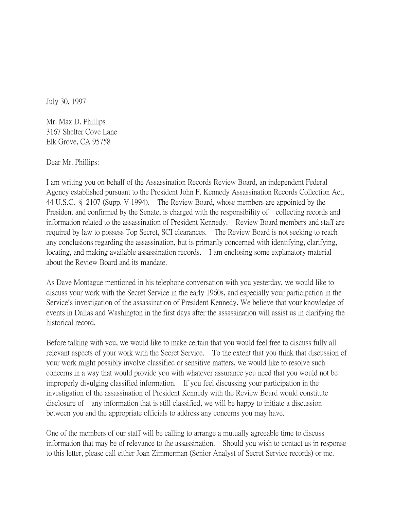July 30, 1997

Mr. Max D. Phillips 3167 Shelter Cove Lane Elk Grove, CA 95758

Dear Mr. Phillips:

I am writing you on behalf of the Assassination Records Review Board, an independent Federal Agency established pursuant to the President John F. Kennedy Assassination Records Collection Act, 44 U.S.C. § 2107 (Supp. V 1994). The Review Board, whose members are appointed by the President and confirmed by the Senate, is charged with the responsibility of collecting records and information related to the assassination of President Kennedy. Review Board members and staff are required by law to possess Top Secret, SCI clearances. The Review Board is not seeking to reach any conclusions regarding the assassination, but is primarily concerned with identifying, clarifying, locating, and making available assassination records. I am enclosing some explanatory material about the Review Board and its mandate.

As Dave Montague mentioned in his telephone conversation with you yesterday, we would like to discuss your work with the Secret Service in the early 1960s, and especially your participation in the Service's investigation of the assassination of President Kennedy. We believe that your knowledge of events in Dallas and Washington in the first days after the assassination will assist us in clarifying the historical record.

Before talking with you, we would like to make certain that you would feel free to discuss fully all relevant aspects of your work with the Secret Service. To the extent that you think that discussion of your work might possibly involve classified or sensitive matters, we would like to resolve such concerns in a way that would provide you with whatever assurance you need that you would not be improperly divulging classified information. If you feel discussing your participation in the investigation of the assassination of President Kennedy with the Review Board would constitute disclosure of any information that is still classified, we will be happy to initiate a discussion between you and the appropriate officials to address any concerns you may have.

One of the members of our staff will be calling to arrange a mutually agreeable time to discuss information that may be of relevance to the assassination. Should you wish to contact us in response to this letter, please call either Joan Zimmerman (Senior Analyst of Secret Service records) or me.